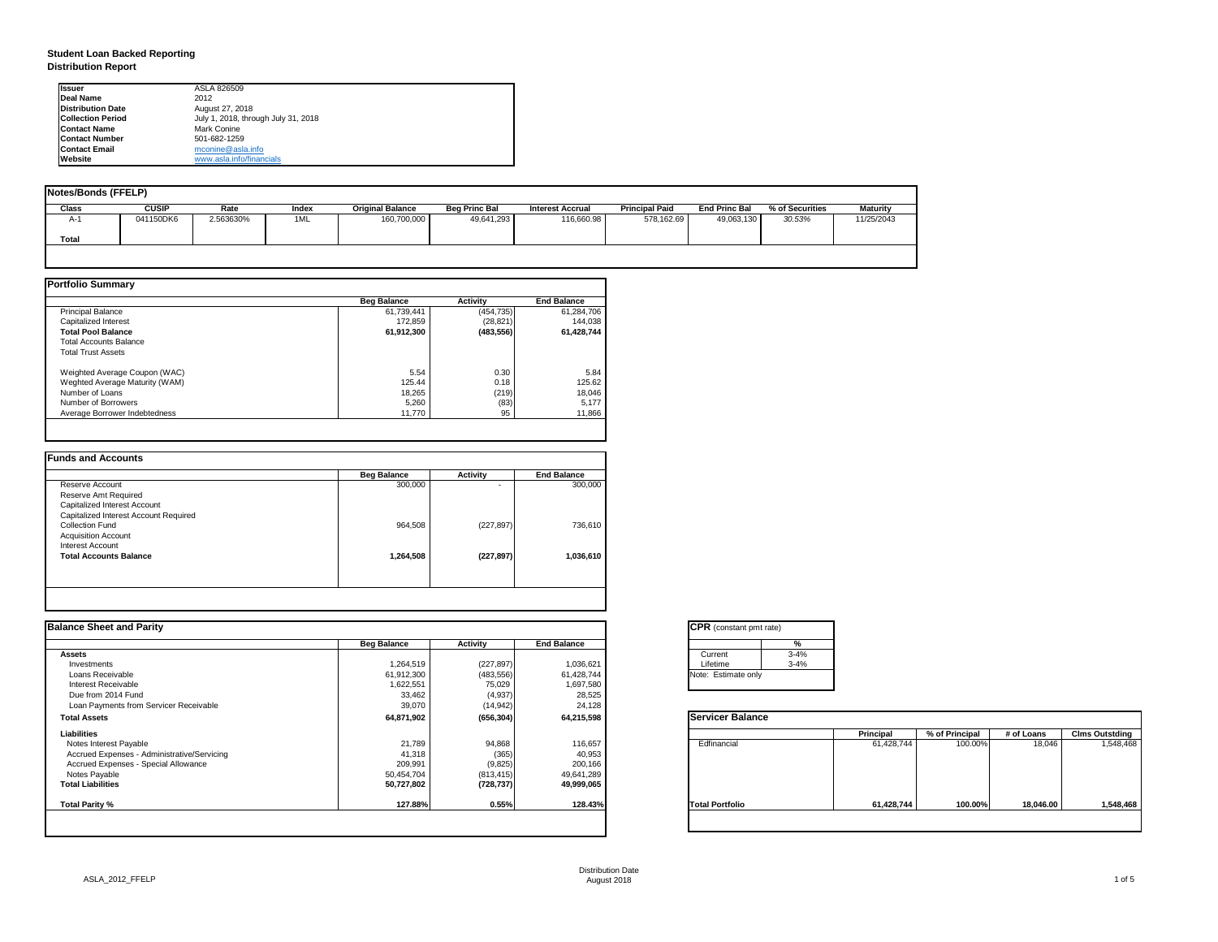# **Student Loan Backed Reporting Distribution Report**

| Notes/Bonds (FFELP) |              |           |       |                         |                      |                  |                       |                      |                 |                 |
|---------------------|--------------|-----------|-------|-------------------------|----------------------|------------------|-----------------------|----------------------|-----------------|-----------------|
| <b>Class</b>        | <b>CUSIP</b> | Rate      | Index | <b>Original Balance</b> | <b>Beg Princ Bal</b> | Interest Accrual | <b>Principal Paid</b> | <b>End Princ Bal</b> | % of Securities | <b>Maturity</b> |
| A-1                 | 041150DK6    | 2.563630% | 1ML   | 160,700,000             | 49,641,293           | 116,660.98       | 578,162.69            | 49,063,130           | 30.53%          | 11/25/2043      |
| <b>Total</b>        |              |           |       |                         |                      |                  |                       |                      |                 |                 |
|                     |              |           |       |                         |                      |                  |                       |                      |                 |                 |

|                                | <b>Beg Balance</b> | <b>Activity</b> | <b>End Balance</b> |
|--------------------------------|--------------------|-----------------|--------------------|
| <b>Principal Balance</b>       | 61,739,441         | (454, 735)      | 61,284,706         |
| <b>Capitalized Interest</b>    | 172,859            | (28, 821)       | 144,038            |
| <b>Total Pool Balance</b>      | 61,912,300         | (483, 556)      | 61,428,744         |
| <b>Total Accounts Balance</b>  |                    |                 |                    |
| <b>Total Trust Assets</b>      |                    |                 |                    |
| Weighted Average Coupon (WAC)  | 5.54               | 0.30            | 5.84               |
| Weghted Average Maturity (WAM) | 125.44             | 0.18            | 125.62             |
| Number of Loans                | 18,265             | (219)           | 18,046             |
| Number of Borrowers            | 5,260              | (83)            | 5,177              |
| Average Borrower Indebtedness  | 11,770             | 95              | 11,866             |

|                                       | <b>Beg Balance</b> | <b>Activity</b> | <b>End Balance</b> |
|---------------------------------------|--------------------|-----------------|--------------------|
| Reserve Account                       | 300,000            | ۰               | 300,000            |
| Reserve Amt Required                  |                    |                 |                    |
| Capitalized Interest Account          |                    |                 |                    |
| Capitalized Interest Account Required |                    |                 |                    |
| <b>Collection Fund</b>                | 964,508            | (227, 897)      | 736,610            |
| <b>Acquisition Account</b>            |                    |                 |                    |
| <b>Interest Account</b>               |                    |                 |                    |
| <b>Total Accounts Balance</b>         | 1,264,508          | (227, 897)      | 1,036,610          |
|                                       |                    |                 |                    |

| <b>Ilssuer</b>           | ASLA 826509                         |
|--------------------------|-------------------------------------|
| Deal Name                | 2012                                |
| <b>Distribution Date</b> | August 27, 2018                     |
| <b>Collection Period</b> | July 1, 2018, through July 31, 2018 |
| <b>IContact Name</b>     | <b>Mark Conine</b>                  |
| <b>IContact Number</b>   | 501-682-1259                        |
| <b>Contact Email</b>     | mconine@asla.info                   |
| <b>IWebsite</b>          | www.asla.info/financials            |

| <b>Balance Sheet and Parity</b>             |                    |                 |                    | <b>CPR</b> (constant pmt rate) |                  |                |            |                       |
|---------------------------------------------|--------------------|-----------------|--------------------|--------------------------------|------------------|----------------|------------|-----------------------|
|                                             | <b>Beg Balance</b> | <b>Activity</b> | <b>End Balance</b> | %                              |                  |                |            |                       |
| <b>Assets</b>                               |                    |                 |                    | $3 - 4%$<br>Current            |                  |                |            |                       |
| Investments                                 | 1,264,519          | (227, 897)      | 1,036,621          | $3 - 4%$<br>Lifetime           |                  |                |            |                       |
| Loans Receivable                            | 61,912,300         | (483, 556)      | 61,428,744         | Note: Estimate only            |                  |                |            |                       |
| <b>Interest Receivable</b>                  | 1,622,551          | 75,029          | 1,697,580          |                                |                  |                |            |                       |
| Due from 2014 Fund                          | 33,462             | (4,937)         | 28,525             |                                |                  |                |            |                       |
| Loan Payments from Servicer Receivable      | 39,070             | (14, 942)       | 24,128             |                                |                  |                |            |                       |
| <b>Total Assets</b>                         | 64,871,902         | (656, 304)      | 64,215,598         | <b>Servicer Balance</b>        |                  |                |            |                       |
| <b>Liabilities</b>                          |                    |                 |                    |                                | <b>Principal</b> | % of Principal | # of Loans | <b>Clms Outstding</b> |
| Notes Interest Payable                      | 21,789             | 94,868          | 116,657            | Edfinancial                    | 61,428,744       | 100.00%        | 18,046     | 1,548,468             |
| Accrued Expenses - Administrative/Servicing | 41,318             | (365)           | 40,953             |                                |                  |                |            |                       |
| Accrued Expenses - Special Allowance        | 209,991            | (9,825)         | 200,166            |                                |                  |                |            |                       |
| Notes Payable                               | 50,454,704         | (813, 415)      | 49,641,289         |                                |                  |                |            |                       |
| <b>Total Liabilities</b>                    | 50,727,802         | (728, 737)      | 49,999,065         |                                |                  |                |            |                       |
| Total Parity %                              | 127.88%            | 0.55%           | 128.43%            | <b>Total Portfolio</b>         | 61,428,744       | 100.00%        | 18,046.00  | 1,548,468             |

| tant pmt rate) |          |
|----------------|----------|
|                | %        |
|                | $3 - 4%$ |
|                | $3 - 4%$ |
| ate only       |          |

| <b>Balance</b> |                  |                |              |                       |
|----------------|------------------|----------------|--------------|-----------------------|
|                | <b>Principal</b> | % of Principal | $#$ of Loans | <b>Clms Outstding</b> |
| al             | 61,428,744       | 100.00%        | 18,046       | 1,548,468             |
| olic           | 61,428,744       | 100.00%        | 18,046.00    | 1,548,468             |
|                |                  |                |              |                       |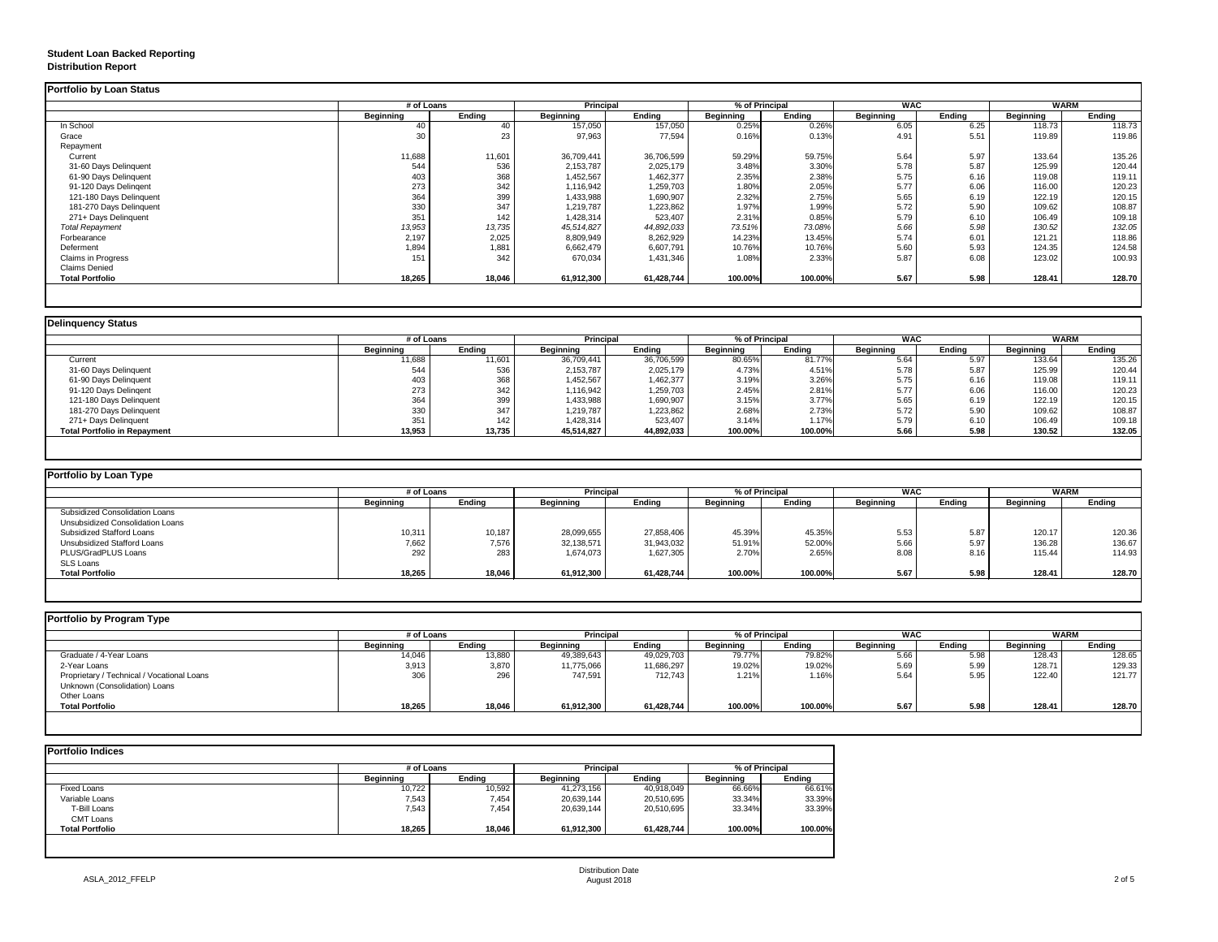## **Student Loan Backed Reporting Distribution Report**

## **Delinquency Status**

|                           | # of Loans       |               | <b>Principal</b> |               | % of Principal   |               | <b>WAC</b>       |               | <b>WARM</b>      |               |
|---------------------------|------------------|---------------|------------------|---------------|------------------|---------------|------------------|---------------|------------------|---------------|
|                           | <b>Beginning</b> | <b>Ending</b> | <b>Beginning</b> | <b>Ending</b> | <b>Beginning</b> | <b>Ending</b> | <b>Beginning</b> | <b>Ending</b> | <b>Beginning</b> | <b>Ending</b> |
| In School                 | 40               | 40            | 157,050          | 157,050       | 0.25%            | 0.26%         | 6.05             | 6.25          | 118.73           | 118.73        |
| Grace                     | 30               | 23            | 97,963           | 77,594        | 0.16%            | 0.13%         | 4.91             | 5.51          | 119.89           | 119.86        |
| Repayment                 |                  |               |                  |               |                  |               |                  |               |                  |               |
| Current                   | 11,688           | 11,601        | 36,709,441       | 36,706,599    | 59.29%           | 59.75%        | 5.64             | 5.97          | 133.64           | 135.26        |
| 31-60 Days Delinquent     | 544              | 536           | 2,153,787        | 2,025,179     | 3.48%            | 3.30%         | 5.78             | 5.87          | 125.99           | 120.44        |
| 61-90 Days Delinquent     | 403              | 368           | 1,452,567        | 1,462,377     | 2.35%            | 2.38%         | 5.75             | 6.16          | 119.08           | 119.11        |
| 91-120 Days Delingent     | 273              | 342           | 1,116,942        | 1,259,703     | 1.80%            | 2.05%         | 5.77             | 6.06          | 116.00           | 120.23        |
| 121-180 Days Delinquent   | 364              | 399           | 1,433,988        | 1,690,907     | 2.32%            | 2.75%         | 5.65             | 6.19          | 122.19           | 120.15        |
| 181-270 Days Delinquent   | 330              | 347           | 1,219,787        | 1,223,862     | 1.97%            | 1.99%         | 5.72             | 5.90          | 109.62           | 108.87        |
| 271+ Days Delinquent      | 351              | 142           | 1,428,314        | 523,407       | 2.31%            | 0.85%         | 5.79             | 6.10          | 106.49           | 109.18        |
| <b>Total Repayment</b>    | 13,953           | 13,735        | 45,514,827       | 44,892,033    | 73.51%           | 73.08%        | 5.66             | 5.98          | 130.52           | 132.05        |
| Forbearance               | 2,197            | 2,025         | 8,809,949        | 8,262,929     | 14.23%           | 13.45%        | 5.74             | 6.01          | 121.21           | 118.86        |
| Deferment                 | 1,894            | 1,881         | 6,662,479        | 6,607,791     | 10.76%           | 10.76%        | 5.60             | 5.93          | 124.35           | 124.58        |
| <b>Claims in Progress</b> | 151              | 342           | 670,034          | 1,431,346     | 1.08%            | 2.33%         | 5.87             | 6.08          | 123.02           | 100.93        |
| <b>Claims Denied</b>      |                  |               |                  |               |                  |               |                  |               |                  |               |
| <b>Total Portfolio</b>    | 18,265           | 18,046        | 61,912,300       | 61,428,744    | 100.00%          | 100.00%       | 5.67             | 5.98          | 128.41           | 128.70        |

|                                     | # of Loans       |               | <b>Principal</b> |               | % of Principal |               | <b>WAC</b>       |               | <b>WARM</b>      |        |
|-------------------------------------|------------------|---------------|------------------|---------------|----------------|---------------|------------------|---------------|------------------|--------|
|                                     | <b>Beginning</b> | <b>Ending</b> | <b>Beginning</b> | <b>Ending</b> | Beginning      | <b>Ending</b> | <b>Beginning</b> | <b>Ending</b> | <b>Beginning</b> | Ending |
| Current                             | 11,688           | 11,601        | 36,709,441       | 36,706,599    | 80.65%         | 81.77%        | 5.64             | 5.97          | 133.64           | 135.26 |
| 31-60 Days Delinquent               | 544              | 536           | 2,153,787        | 2,025,179     | 4.73%          | 4.51%         | 5.78             | 5.87          | 125.99           | 120.44 |
| 61-90 Days Delinquent               | 403              | 368           | 1,452,567        | 1,462,377     | 3.19%          | 3.26%         | 5.75             | 6.16          | 119.08           | 119.11 |
| 91-120 Days Delinqent               | 273              | 342           | 1,116,942        | 1,259,703     | 2.45%          | 2.81%         | 5.77             | 6.06          | 116.00           | 120.23 |
| 121-180 Days Delinquent             | 364              | 399           | 1,433,988        | 1,690,907     | 3.15%          | 3.77%         | 5.65             | 6.19          | 122.19           | 120.15 |
| 181-270 Days Delinquent             | 330              | 347           | 1,219,787        | 1,223,862     | 2.68%          | 2.73%         | 5.72             | 5.90          | 109.62           | 108.87 |
| 271+ Days Delinquent                | 351              | 142           | 1,428,314        | 523,407       | 3.14%          | 1.17%         | 5.79             | 6.1C          | 106.49           | 109.18 |
| <b>Total Portfolio in Repayment</b> | 13,953           | 13,735        | 45,514,827       | 44,892,033    | 100.00%        | 100.00%       | 5.66             | 5.98          | 130.52           | 132.05 |

| <b>Portfolio by Loan Type</b>         |                  |               |                  |                  |                  |                |                  |        |                  |        |
|---------------------------------------|------------------|---------------|------------------|------------------|------------------|----------------|------------------|--------|------------------|--------|
|                                       | # of Loans       |               |                  | <b>Principal</b> |                  | % of Principal | <b>WAC</b>       |        | WARM             |        |
|                                       | <b>Beginning</b> | <b>Ending</b> | <b>Beginning</b> | <b>Ending</b>    | <b>Beginning</b> | <b>Ending</b>  | <b>Beginning</b> | Ending | <b>Beginning</b> | Ending |
| <b>Subsidized Consolidation Loans</b> |                  |               |                  |                  |                  |                |                  |        |                  |        |
| Unsubsidized Consolidation Loans      |                  |               |                  |                  |                  |                |                  |        |                  |        |
| <b>Subsidized Stafford Loans</b>      | 10,311           | 10,187        | 28,099,655       | 27,858,406       | 45.39%           | 45.35%         | 5.53             | 5.87   | 120.17           | 120.36 |
| <b>Unsubsidized Stafford Loans</b>    | 7,662            | 7,576         | 32,138,571       | 31,943,032       | 51.91%           | 52.00%         | 5.66             | 5.97   | 136.28           | 136.67 |
| PLUS/GradPLUS Loans                   | 292              | 283           | 1,674,073        | 1,627,305        | 2.70%            | 2.65%          | 8.08             | 8.16   | 115.44           | 114.93 |
| <b>SLS Loans</b>                      |                  |               |                  |                  |                  |                |                  |        |                  |        |
| <b>Total Portfolio</b>                | 18,265           | 18,046        | 61,912,300       | 61,428,744       | 100.00%          | 100.00%        | 5.67             | 5.98   | 128.41           | 128.70 |

|                                            |                  | # of Loans    |                  | <b>Principal</b> |                  | % of Principal |                  | <b>WAC</b>    |                  | <b>WARM</b> |  |
|--------------------------------------------|------------------|---------------|------------------|------------------|------------------|----------------|------------------|---------------|------------------|-------------|--|
|                                            | <b>Beginning</b> | <b>Ending</b> | <b>Beginning</b> | <b>Ending</b>    | <b>Beginning</b> | <b>Ending</b>  | <b>Beginning</b> | <b>Ending</b> | <b>Beginning</b> | Ending      |  |
| Graduate / 4-Year Loans                    | 14,046           | 13,880        | 49,389,643       | 49,029,703       | 79.77%           | 79.82%         | 5.66             | 5.98          | 128.43           | 128.65      |  |
| 2-Year Loans                               | 3,913            | 3,870         | 11,775,066       | 11,686,297       | 19.02%           | 19.02%         | 5.69             | 5.99          | 128.71           | 129.33      |  |
| Proprietary / Technical / Vocational Loans | 306              | 296           | 747,591          | 712,743          | 1.21%            | 1.16%          | 5.64             | 5.95          | 122.40           | 121.77      |  |
| Unknown (Consolidation) Loans              |                  |               |                  |                  |                  |                |                  |               |                  |             |  |
| <b>Other Loans</b>                         |                  |               |                  |                  |                  |                |                  |               |                  |             |  |
| <b>Total Portfolio</b>                     | 18,265           | 18,046        | 61,912,300       | 61,428,744       | 100.00%          | 100.00%        | 5.67             | 5.98          | 128.41           | 128.70      |  |

|                        | # of Loans       | <b>Principal</b> |                  | % of Principal |                  |               |
|------------------------|------------------|------------------|------------------|----------------|------------------|---------------|
|                        | <b>Beginning</b> | <b>Ending</b>    | <b>Beginning</b> | <b>Ending</b>  | <b>Beginning</b> | <b>Ending</b> |
| <b>Fixed Loans</b>     | 10,722           | 10,592           | 41,273,156       | 40,918,049     | 66.66%           | 66.61%        |
| Variable Loans         | 7,543            | 7,454            | 20,639,144       | 20,510,695     | 33.34%           | 33.39%        |
| T-Bill Loans           | 7,543            | 7,454            | 20,639,144       | 20,510,695     | 33.34%           | 33.39%        |
| <b>CMT Loans</b>       |                  |                  |                  |                |                  |               |
| <b>Total Portfolio</b> | 18,265           | 18,046           | 61,912,300       | 61,428,744     | 100.00%          | 100.00%       |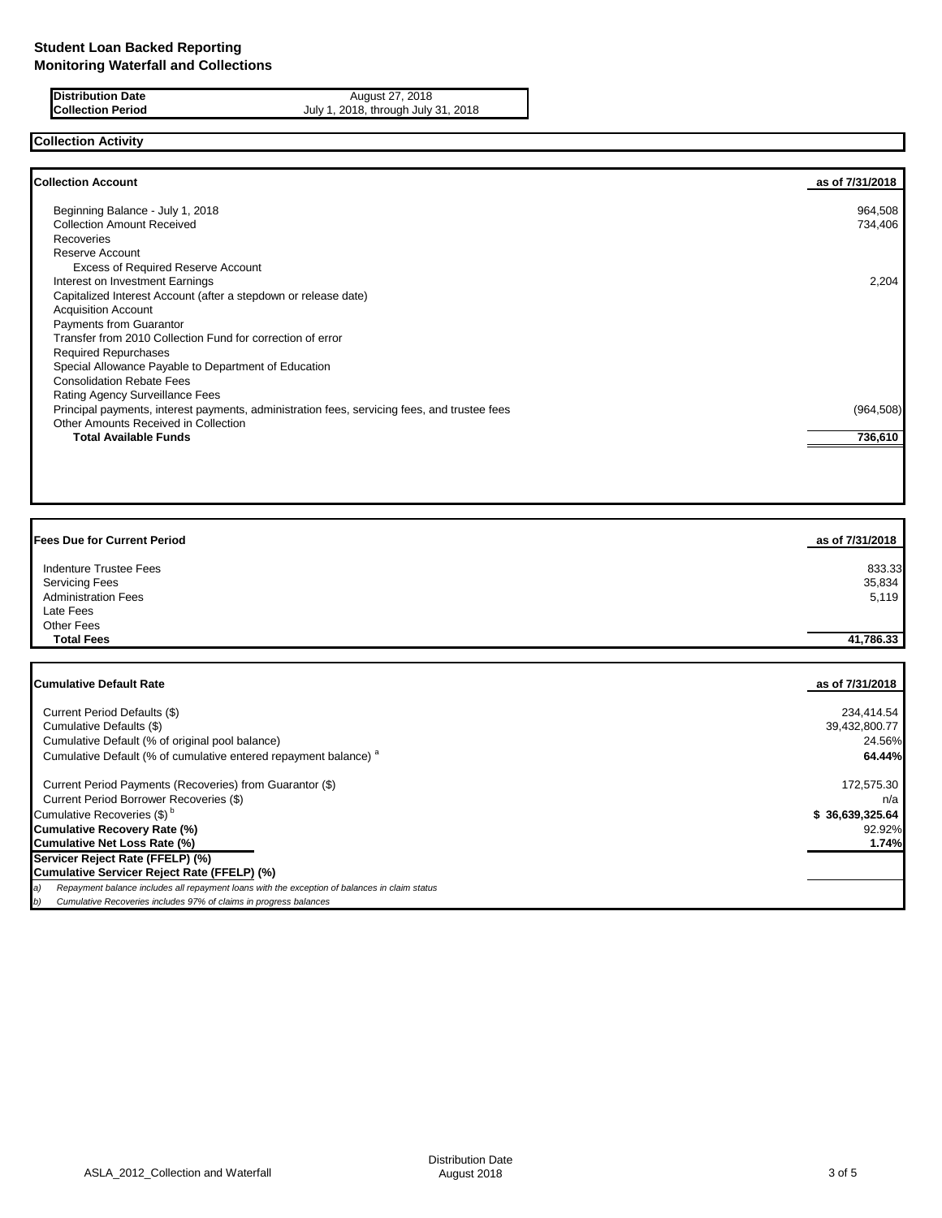| <b>IDIStribution Date</b> |
|---------------------------|
| <b>Collection Period</b>  |

**Distribution Date** August 27, 2018 July 1, 2018, through July 31, 2018

# **Collection Activity**

| <b>Collection Account</b>                                                                    | as of 7/31/2018 |
|----------------------------------------------------------------------------------------------|-----------------|
| Beginning Balance - July 1, 2018                                                             | 964,508         |
| <b>Collection Amount Received</b>                                                            | 734,406         |
| Recoveries                                                                                   |                 |
| Reserve Account                                                                              |                 |
| <b>Excess of Required Reserve Account</b>                                                    |                 |
| Interest on Investment Earnings                                                              | 2,204           |
| Capitalized Interest Account (after a stepdown or release date)                              |                 |
| <b>Acquisition Account</b>                                                                   |                 |
| Payments from Guarantor                                                                      |                 |
| Transfer from 2010 Collection Fund for correction of error                                   |                 |
| <b>Required Repurchases</b>                                                                  |                 |
| Special Allowance Payable to Department of Education                                         |                 |
| <b>Consolidation Rebate Fees</b>                                                             |                 |
| Rating Agency Surveillance Fees                                                              |                 |
| Principal payments, interest payments, administration fees, servicing fees, and trustee fees | (964, 508)      |
| Other Amounts Received in Collection                                                         |                 |
| <b>Total Available Funds</b>                                                                 | 736,610         |
|                                                                                              |                 |

| <b>Fees Due for Current Period</b> | as of 7/31/2018 |
|------------------------------------|-----------------|
| <b>Indenture Trustee Fees</b>      | 833.33          |
| <b>Servicing Fees</b>              | 35,834          |
| <b>Administration Fees</b>         | 5,119           |
| Late Fees                          |                 |
| <b>Other Fees</b>                  |                 |
| <b>Total Fees</b>                  | 41,786.33       |
|                                    |                 |
|                                    |                 |

| <b>Cumulative Default Rate</b>                                                                      | as of 7/31/2018 |
|-----------------------------------------------------------------------------------------------------|-----------------|
| Current Period Defaults (\$)                                                                        | 234,414.54      |
| Cumulative Defaults (\$)                                                                            | 39,432,800.77   |
| Cumulative Default (% of original pool balance)                                                     | 24.56%          |
| Cumulative Default (% of cumulative entered repayment balance) <sup>a</sup>                         | 64.44%          |
| Current Period Payments (Recoveries) from Guarantor (\$)                                            | 172,575.30      |
| Current Period Borrower Recoveries (\$)                                                             | n/a             |
| Cumulative Recoveries (\$) <sup>b</sup>                                                             | \$36,639,325.64 |
| <b>Cumulative Recovery Rate (%)</b>                                                                 | 92.92%          |
| <b>Cumulative Net Loss Rate (%)</b>                                                                 | 1.74%           |
| Servicer Reject Rate (FFELP) (%)                                                                    |                 |
| Cumulative Servicer Reject Rate (FFELP) (%)                                                         |                 |
| Repayment balance includes all repayment loans with the exception of balances in claim status<br>a) |                 |
| Cumulative Recoveries includes 97% of claims in progress balances<br>b)                             |                 |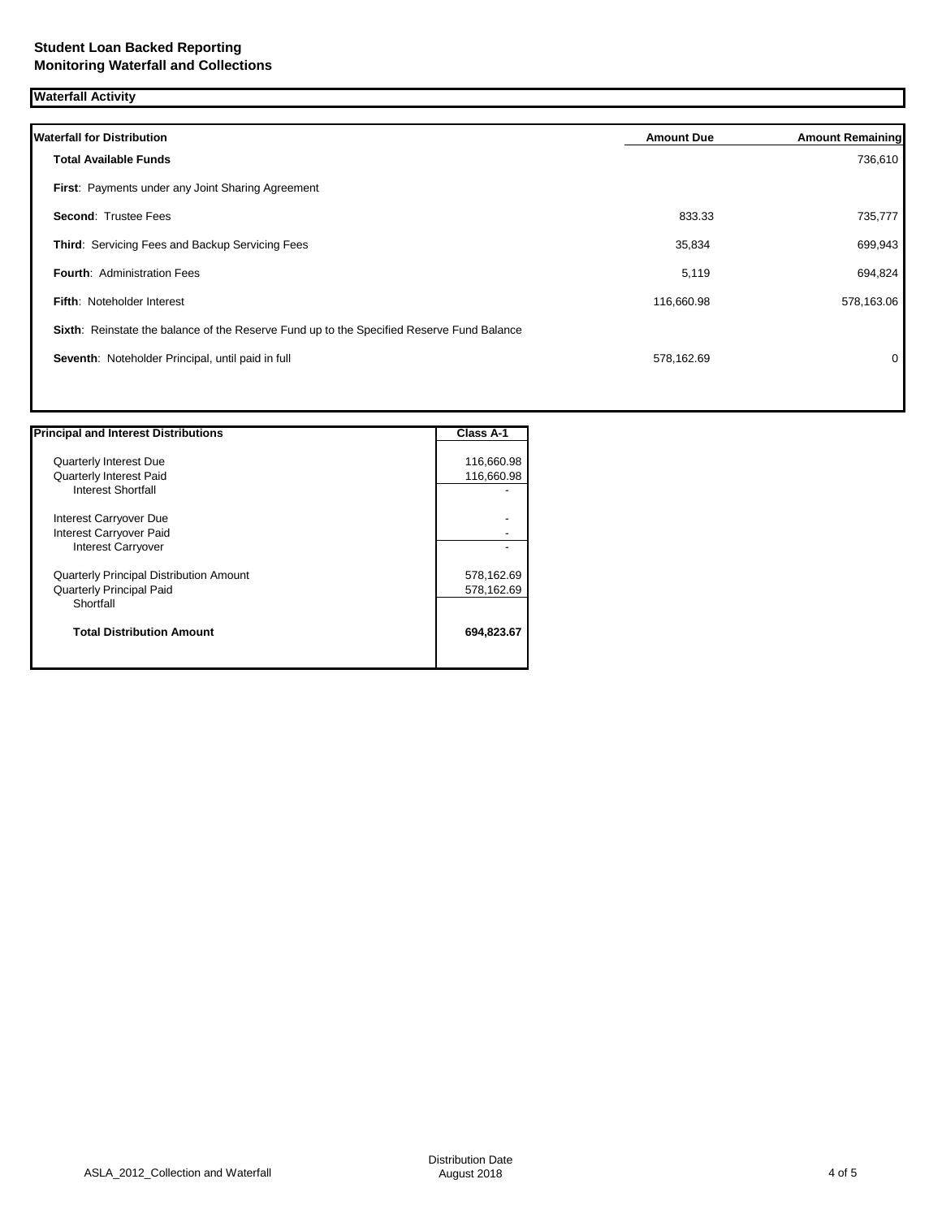| <b>Waterfall Activity</b>                                                                 |                   |                         |  |
|-------------------------------------------------------------------------------------------|-------------------|-------------------------|--|
| <b>Waterfall for Distribution</b>                                                         | <b>Amount Due</b> | <b>Amount Remaining</b> |  |
| <b>Total Available Funds</b>                                                              |                   | 736,610                 |  |
| First: Payments under any Joint Sharing Agreement                                         |                   |                         |  |
| <b>Second: Trustee Fees</b>                                                               | 833.33            | 735,777                 |  |
| Third: Servicing Fees and Backup Servicing Fees                                           | 35,834            | 699,943                 |  |
| <b>Fourth: Administration Fees</b>                                                        | 5,119             | 694,824                 |  |
| Fifth: Noteholder Interest                                                                | 116,660.98        | 578,163.06              |  |
| Sixth: Reinstate the balance of the Reserve Fund up to the Specified Reserve Fund Balance |                   |                         |  |
| Seventh: Noteholder Principal, until paid in full                                         | 578,162.69        | 0                       |  |
|                                                                                           |                   |                         |  |

| <b>Principal and Interest Distributions</b>    | <b>Class A-1</b> |
|------------------------------------------------|------------------|
| <b>Quarterly Interest Due</b>                  | 116,660.98       |
|                                                |                  |
| <b>Quarterly Interest Paid</b>                 | 116,660.98       |
| <b>Interest Shortfall</b>                      |                  |
| Interest Carryover Due                         |                  |
| Interest Carryover Paid                        |                  |
| <b>Interest Carryover</b>                      |                  |
| <b>Quarterly Principal Distribution Amount</b> | 578,162.69       |
| <b>Quarterly Principal Paid</b>                | 578,162.69       |
| Shortfall                                      |                  |
| <b>Total Distribution Amount</b>               | 694,823.67       |
|                                                |                  |